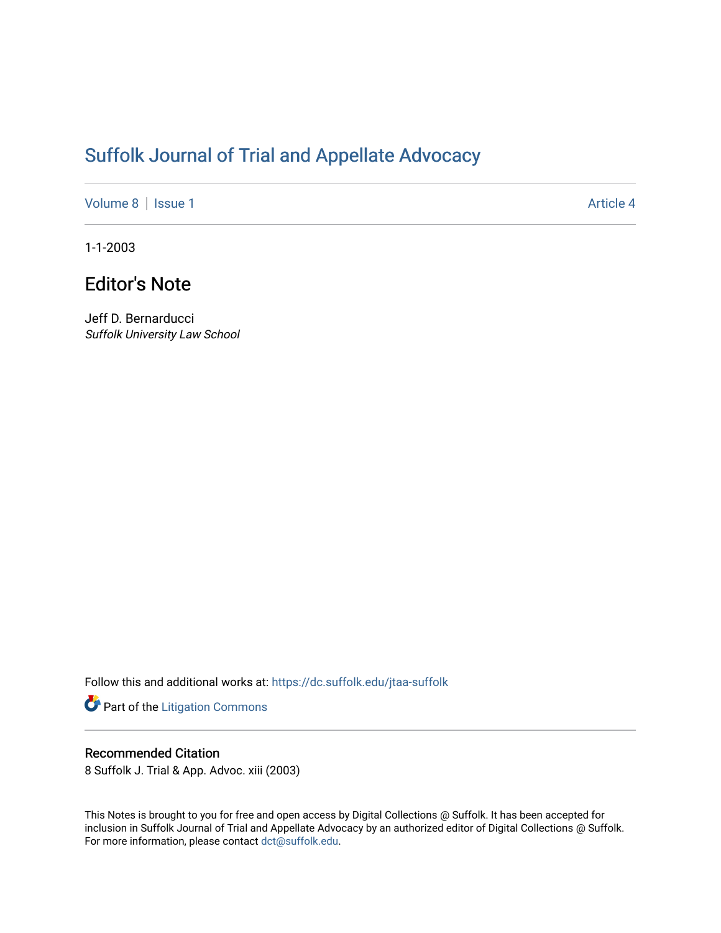# [Suffolk Journal of Trial and Appellate Advocacy](https://dc.suffolk.edu/jtaa-suffolk)

[Volume 8](https://dc.suffolk.edu/jtaa-suffolk/vol8) | [Issue 1](https://dc.suffolk.edu/jtaa-suffolk/vol8/iss1) Article 4

1-1-2003

## Editor's Note

Jeff D. Bernarducci Suffolk University Law School

Follow this and additional works at: [https://dc.suffolk.edu/jtaa-suffolk](https://dc.suffolk.edu/jtaa-suffolk?utm_source=dc.suffolk.edu%2Fjtaa-suffolk%2Fvol8%2Fiss1%2F4&utm_medium=PDF&utm_campaign=PDFCoverPages) 

Part of the [Litigation Commons](https://network.bepress.com/hgg/discipline/910?utm_source=dc.suffolk.edu%2Fjtaa-suffolk%2Fvol8%2Fiss1%2F4&utm_medium=PDF&utm_campaign=PDFCoverPages)

#### Recommended Citation

8 Suffolk J. Trial & App. Advoc. xiii (2003)

This Notes is brought to you for free and open access by Digital Collections @ Suffolk. It has been accepted for inclusion in Suffolk Journal of Trial and Appellate Advocacy by an authorized editor of Digital Collections @ Suffolk. For more information, please contact [dct@suffolk.edu](mailto:dct@suffolk.edu).